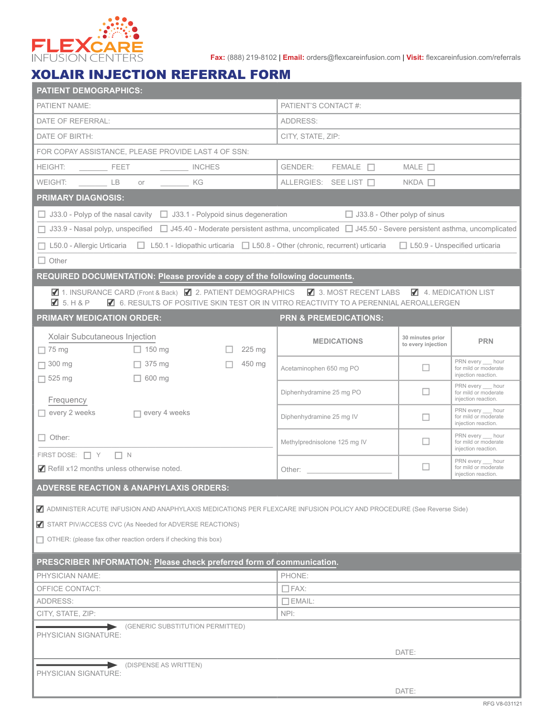

**Fax:** (888) 219-8102 | **Email:** orders@flexcareinfusion.com | **Visit:** flexcareinfusion.com/referrals

## XOLAIR INJECTION REFERRAL FORM

| PATIENT'S CONTACT #:<br>PATIENT NAME:<br>DATE OF REFERRAL:<br>ADDRESS:<br>DATE OF BIRTH:<br>CITY, STATE, ZIP:<br>FOR COPAY ASSISTANCE, PLEASE PROVIDE LAST 4 OF SSN:<br>GENDER:<br>$FEMALE$ $\Box$<br>MALE $\Box$<br>WEIGHT: ____ LB<br>ALLERGIES: SEE LIST □<br>$NKDA$ $\Box$<br>$or$ $\overline{\phantom{a}}$<br>KG<br><b>PRIMARY DIAGNOSIS:</b><br>$\Box$ J33.0 - Polyp of the nasal cavity $\Box$ J33.1 - Polypoid sinus degeneration<br>$\Box$ J33.8 - Other polyp of sinus<br>□ J33.9 - Nasal polyp, unspecified □ J45.40 - Moderate persistent asthma, uncomplicated □ J45.50 - Severe persistent asthma, uncomplicated<br>□ L50.0 - Allergic Urticaria □ L50.1 - Idiopathic urticaria □ L50.8 - Other (chronic, recurrent) urticaria □ L50.9 - Unspecified urticaria<br>$\Box$ Other<br>REQUIRED DOCUMENTATION: Please provide a copy of the following documents.<br>7 1. INSURANCE CARD (Front & Back) 7 2. PATIENT DEMOGRAPHICS 7 3. MOST RECENT LABS 7 4. MEDICATION LIST<br>$\blacksquare$ 5. H & P<br>4 6. RESULTS OF POSITIVE SKIN TEST OR IN VITRO REACTIVITY TO A PERENNIAL AEROALLERGEN<br><b>PRIMARY MEDICATION ORDER:</b><br><b>PRN &amp; PREMEDICATIONS:</b><br>Xolair Subcutaneous Injection<br>30 minutes prior<br><b>PRN</b><br><b>MEDICATIONS</b><br>to every injection<br>$\Box$ 75 mg<br>225 mg<br>$\Box$ 150 mg<br>PRN every hour<br>450 mg<br>$\Box$ 300 mg<br>$\Box$ 375 mg<br>□<br>Acetaminophen 650 mg PO<br>for mild or moderate<br>injection reaction.<br>$\Box$ 525 mg<br>$\Box$ 600 mg<br>PRN every hour<br>ப<br>Diphenhydramine 25 mg PO<br>for mild or moderate<br>injection reaction.<br>Frequency<br>PRN every hour<br>every 2 weeks<br>$\Box$ every 4 weeks<br>Diphenhydramine 25 mg IV<br>for mild or moderate<br>П<br>injection reaction.<br>PRN every hour<br>$\Box$ Other:<br>П<br>for mild or moderate<br>Methylprednisolone 125 mg IV<br>injection reaction.<br>FIRST DOSE: $\Box$ Y $\Box$ N<br>PRN every hour<br>$\Box$<br>for mild or moderate<br>Refill x12 months unless otherwise noted.<br>Other: the contract of the contract of the contract of the contract of the contract of the contract of the contract of the contract of the contract of the contract of the contract of the contract of the contract of the con<br>injection reaction.<br><b>ADVERSE REACTION &amp; ANAPHYLAXIS ORDERS:</b><br>ADMINISTER ACUTE INFUSION AND ANAPHYLAXIS MEDICATIONS PER FLEXCARE INFUSION POLICY AND PROCEDURE (See Reverse Side)<br>START PIV/ACCESS CVC (As Needed for ADVERSE REACTIONS)<br>$\Box$ OTHER: (please fax other reaction orders if checking this box)<br>PRESCRIBER INFORMATION: Please check preferred form of communication. |
|-----------------------------------------------------------------------------------------------------------------------------------------------------------------------------------------------------------------------------------------------------------------------------------------------------------------------------------------------------------------------------------------------------------------------------------------------------------------------------------------------------------------------------------------------------------------------------------------------------------------------------------------------------------------------------------------------------------------------------------------------------------------------------------------------------------------------------------------------------------------------------------------------------------------------------------------------------------------------------------------------------------------------------------------------------------------------------------------------------------------------------------------------------------------------------------------------------------------------------------------------------------------------------------------------------------------------------------------------------------------------------------------------------------------------------------------------------------------------------------------------------------------------------------------------------------------------------------------------------------------------------------------------------------------------------------------------------------------------------------------------------------------------------------------------------------------------------------------------------------------------------------------------------------------------------------------------------------------------------------------------------------------------------------------------------------------------------------------------------------------------------------------------------------------------------------------------------------------------------------------------------------------------------------------------------------------------------------------------------------------------------------------------------------------------------------------------------------------------------------------------------------------------------------------------------------------------------------------------------------------------------------------------------------------------------------------------|
|                                                                                                                                                                                                                                                                                                                                                                                                                                                                                                                                                                                                                                                                                                                                                                                                                                                                                                                                                                                                                                                                                                                                                                                                                                                                                                                                                                                                                                                                                                                                                                                                                                                                                                                                                                                                                                                                                                                                                                                                                                                                                                                                                                                                                                                                                                                                                                                                                                                                                                                                                                                                                                                                                               |
|                                                                                                                                                                                                                                                                                                                                                                                                                                                                                                                                                                                                                                                                                                                                                                                                                                                                                                                                                                                                                                                                                                                                                                                                                                                                                                                                                                                                                                                                                                                                                                                                                                                                                                                                                                                                                                                                                                                                                                                                                                                                                                                                                                                                                                                                                                                                                                                                                                                                                                                                                                                                                                                                                               |
|                                                                                                                                                                                                                                                                                                                                                                                                                                                                                                                                                                                                                                                                                                                                                                                                                                                                                                                                                                                                                                                                                                                                                                                                                                                                                                                                                                                                                                                                                                                                                                                                                                                                                                                                                                                                                                                                                                                                                                                                                                                                                                                                                                                                                                                                                                                                                                                                                                                                                                                                                                                                                                                                                               |
|                                                                                                                                                                                                                                                                                                                                                                                                                                                                                                                                                                                                                                                                                                                                                                                                                                                                                                                                                                                                                                                                                                                                                                                                                                                                                                                                                                                                                                                                                                                                                                                                                                                                                                                                                                                                                                                                                                                                                                                                                                                                                                                                                                                                                                                                                                                                                                                                                                                                                                                                                                                                                                                                                               |
|                                                                                                                                                                                                                                                                                                                                                                                                                                                                                                                                                                                                                                                                                                                                                                                                                                                                                                                                                                                                                                                                                                                                                                                                                                                                                                                                                                                                                                                                                                                                                                                                                                                                                                                                                                                                                                                                                                                                                                                                                                                                                                                                                                                                                                                                                                                                                                                                                                                                                                                                                                                                                                                                                               |
|                                                                                                                                                                                                                                                                                                                                                                                                                                                                                                                                                                                                                                                                                                                                                                                                                                                                                                                                                                                                                                                                                                                                                                                                                                                                                                                                                                                                                                                                                                                                                                                                                                                                                                                                                                                                                                                                                                                                                                                                                                                                                                                                                                                                                                                                                                                                                                                                                                                                                                                                                                                                                                                                                               |
|                                                                                                                                                                                                                                                                                                                                                                                                                                                                                                                                                                                                                                                                                                                                                                                                                                                                                                                                                                                                                                                                                                                                                                                                                                                                                                                                                                                                                                                                                                                                                                                                                                                                                                                                                                                                                                                                                                                                                                                                                                                                                                                                                                                                                                                                                                                                                                                                                                                                                                                                                                                                                                                                                               |
|                                                                                                                                                                                                                                                                                                                                                                                                                                                                                                                                                                                                                                                                                                                                                                                                                                                                                                                                                                                                                                                                                                                                                                                                                                                                                                                                                                                                                                                                                                                                                                                                                                                                                                                                                                                                                                                                                                                                                                                                                                                                                                                                                                                                                                                                                                                                                                                                                                                                                                                                                                                                                                                                                               |
|                                                                                                                                                                                                                                                                                                                                                                                                                                                                                                                                                                                                                                                                                                                                                                                                                                                                                                                                                                                                                                                                                                                                                                                                                                                                                                                                                                                                                                                                                                                                                                                                                                                                                                                                                                                                                                                                                                                                                                                                                                                                                                                                                                                                                                                                                                                                                                                                                                                                                                                                                                                                                                                                                               |
|                                                                                                                                                                                                                                                                                                                                                                                                                                                                                                                                                                                                                                                                                                                                                                                                                                                                                                                                                                                                                                                                                                                                                                                                                                                                                                                                                                                                                                                                                                                                                                                                                                                                                                                                                                                                                                                                                                                                                                                                                                                                                                                                                                                                                                                                                                                                                                                                                                                                                                                                                                                                                                                                                               |
|                                                                                                                                                                                                                                                                                                                                                                                                                                                                                                                                                                                                                                                                                                                                                                                                                                                                                                                                                                                                                                                                                                                                                                                                                                                                                                                                                                                                                                                                                                                                                                                                                                                                                                                                                                                                                                                                                                                                                                                                                                                                                                                                                                                                                                                                                                                                                                                                                                                                                                                                                                                                                                                                                               |
|                                                                                                                                                                                                                                                                                                                                                                                                                                                                                                                                                                                                                                                                                                                                                                                                                                                                                                                                                                                                                                                                                                                                                                                                                                                                                                                                                                                                                                                                                                                                                                                                                                                                                                                                                                                                                                                                                                                                                                                                                                                                                                                                                                                                                                                                                                                                                                                                                                                                                                                                                                                                                                                                                               |
|                                                                                                                                                                                                                                                                                                                                                                                                                                                                                                                                                                                                                                                                                                                                                                                                                                                                                                                                                                                                                                                                                                                                                                                                                                                                                                                                                                                                                                                                                                                                                                                                                                                                                                                                                                                                                                                                                                                                                                                                                                                                                                                                                                                                                                                                                                                                                                                                                                                                                                                                                                                                                                                                                               |
|                                                                                                                                                                                                                                                                                                                                                                                                                                                                                                                                                                                                                                                                                                                                                                                                                                                                                                                                                                                                                                                                                                                                                                                                                                                                                                                                                                                                                                                                                                                                                                                                                                                                                                                                                                                                                                                                                                                                                                                                                                                                                                                                                                                                                                                                                                                                                                                                                                                                                                                                                                                                                                                                                               |
|                                                                                                                                                                                                                                                                                                                                                                                                                                                                                                                                                                                                                                                                                                                                                                                                                                                                                                                                                                                                                                                                                                                                                                                                                                                                                                                                                                                                                                                                                                                                                                                                                                                                                                                                                                                                                                                                                                                                                                                                                                                                                                                                                                                                                                                                                                                                                                                                                                                                                                                                                                                                                                                                                               |
|                                                                                                                                                                                                                                                                                                                                                                                                                                                                                                                                                                                                                                                                                                                                                                                                                                                                                                                                                                                                                                                                                                                                                                                                                                                                                                                                                                                                                                                                                                                                                                                                                                                                                                                                                                                                                                                                                                                                                                                                                                                                                                                                                                                                                                                                                                                                                                                                                                                                                                                                                                                                                                                                                               |
|                                                                                                                                                                                                                                                                                                                                                                                                                                                                                                                                                                                                                                                                                                                                                                                                                                                                                                                                                                                                                                                                                                                                                                                                                                                                                                                                                                                                                                                                                                                                                                                                                                                                                                                                                                                                                                                                                                                                                                                                                                                                                                                                                                                                                                                                                                                                                                                                                                                                                                                                                                                                                                                                                               |
|                                                                                                                                                                                                                                                                                                                                                                                                                                                                                                                                                                                                                                                                                                                                                                                                                                                                                                                                                                                                                                                                                                                                                                                                                                                                                                                                                                                                                                                                                                                                                                                                                                                                                                                                                                                                                                                                                                                                                                                                                                                                                                                                                                                                                                                                                                                                                                                                                                                                                                                                                                                                                                                                                               |
|                                                                                                                                                                                                                                                                                                                                                                                                                                                                                                                                                                                                                                                                                                                                                                                                                                                                                                                                                                                                                                                                                                                                                                                                                                                                                                                                                                                                                                                                                                                                                                                                                                                                                                                                                                                                                                                                                                                                                                                                                                                                                                                                                                                                                                                                                                                                                                                                                                                                                                                                                                                                                                                                                               |
|                                                                                                                                                                                                                                                                                                                                                                                                                                                                                                                                                                                                                                                                                                                                                                                                                                                                                                                                                                                                                                                                                                                                                                                                                                                                                                                                                                                                                                                                                                                                                                                                                                                                                                                                                                                                                                                                                                                                                                                                                                                                                                                                                                                                                                                                                                                                                                                                                                                                                                                                                                                                                                                                                               |
|                                                                                                                                                                                                                                                                                                                                                                                                                                                                                                                                                                                                                                                                                                                                                                                                                                                                                                                                                                                                                                                                                                                                                                                                                                                                                                                                                                                                                                                                                                                                                                                                                                                                                                                                                                                                                                                                                                                                                                                                                                                                                                                                                                                                                                                                                                                                                                                                                                                                                                                                                                                                                                                                                               |
|                                                                                                                                                                                                                                                                                                                                                                                                                                                                                                                                                                                                                                                                                                                                                                                                                                                                                                                                                                                                                                                                                                                                                                                                                                                                                                                                                                                                                                                                                                                                                                                                                                                                                                                                                                                                                                                                                                                                                                                                                                                                                                                                                                                                                                                                                                                                                                                                                                                                                                                                                                                                                                                                                               |
|                                                                                                                                                                                                                                                                                                                                                                                                                                                                                                                                                                                                                                                                                                                                                                                                                                                                                                                                                                                                                                                                                                                                                                                                                                                                                                                                                                                                                                                                                                                                                                                                                                                                                                                                                                                                                                                                                                                                                                                                                                                                                                                                                                                                                                                                                                                                                                                                                                                                                                                                                                                                                                                                                               |
|                                                                                                                                                                                                                                                                                                                                                                                                                                                                                                                                                                                                                                                                                                                                                                                                                                                                                                                                                                                                                                                                                                                                                                                                                                                                                                                                                                                                                                                                                                                                                                                                                                                                                                                                                                                                                                                                                                                                                                                                                                                                                                                                                                                                                                                                                                                                                                                                                                                                                                                                                                                                                                                                                               |
|                                                                                                                                                                                                                                                                                                                                                                                                                                                                                                                                                                                                                                                                                                                                                                                                                                                                                                                                                                                                                                                                                                                                                                                                                                                                                                                                                                                                                                                                                                                                                                                                                                                                                                                                                                                                                                                                                                                                                                                                                                                                                                                                                                                                                                                                                                                                                                                                                                                                                                                                                                                                                                                                                               |
|                                                                                                                                                                                                                                                                                                                                                                                                                                                                                                                                                                                                                                                                                                                                                                                                                                                                                                                                                                                                                                                                                                                                                                                                                                                                                                                                                                                                                                                                                                                                                                                                                                                                                                                                                                                                                                                                                                                                                                                                                                                                                                                                                                                                                                                                                                                                                                                                                                                                                                                                                                                                                                                                                               |
|                                                                                                                                                                                                                                                                                                                                                                                                                                                                                                                                                                                                                                                                                                                                                                                                                                                                                                                                                                                                                                                                                                                                                                                                                                                                                                                                                                                                                                                                                                                                                                                                                                                                                                                                                                                                                                                                                                                                                                                                                                                                                                                                                                                                                                                                                                                                                                                                                                                                                                                                                                                                                                                                                               |
|                                                                                                                                                                                                                                                                                                                                                                                                                                                                                                                                                                                                                                                                                                                                                                                                                                                                                                                                                                                                                                                                                                                                                                                                                                                                                                                                                                                                                                                                                                                                                                                                                                                                                                                                                                                                                                                                                                                                                                                                                                                                                                                                                                                                                                                                                                                                                                                                                                                                                                                                                                                                                                                                                               |
|                                                                                                                                                                                                                                                                                                                                                                                                                                                                                                                                                                                                                                                                                                                                                                                                                                                                                                                                                                                                                                                                                                                                                                                                                                                                                                                                                                                                                                                                                                                                                                                                                                                                                                                                                                                                                                                                                                                                                                                                                                                                                                                                                                                                                                                                                                                                                                                                                                                                                                                                                                                                                                                                                               |
|                                                                                                                                                                                                                                                                                                                                                                                                                                                                                                                                                                                                                                                                                                                                                                                                                                                                                                                                                                                                                                                                                                                                                                                                                                                                                                                                                                                                                                                                                                                                                                                                                                                                                                                                                                                                                                                                                                                                                                                                                                                                                                                                                                                                                                                                                                                                                                                                                                                                                                                                                                                                                                                                                               |
| PHYSICIAN NAME:<br>PHONE:<br>OFFICE CONTACT:<br>$\Box$ FAX:                                                                                                                                                                                                                                                                                                                                                                                                                                                                                                                                                                                                                                                                                                                                                                                                                                                                                                                                                                                                                                                                                                                                                                                                                                                                                                                                                                                                                                                                                                                                                                                                                                                                                                                                                                                                                                                                                                                                                                                                                                                                                                                                                                                                                                                                                                                                                                                                                                                                                                                                                                                                                                   |
| ADDRESS:<br>$\Box$ EMAIL:                                                                                                                                                                                                                                                                                                                                                                                                                                                                                                                                                                                                                                                                                                                                                                                                                                                                                                                                                                                                                                                                                                                                                                                                                                                                                                                                                                                                                                                                                                                                                                                                                                                                                                                                                                                                                                                                                                                                                                                                                                                                                                                                                                                                                                                                                                                                                                                                                                                                                                                                                                                                                                                                     |
| CITY, STATE, ZIP:<br>NPI:                                                                                                                                                                                                                                                                                                                                                                                                                                                                                                                                                                                                                                                                                                                                                                                                                                                                                                                                                                                                                                                                                                                                                                                                                                                                                                                                                                                                                                                                                                                                                                                                                                                                                                                                                                                                                                                                                                                                                                                                                                                                                                                                                                                                                                                                                                                                                                                                                                                                                                                                                                                                                                                                     |
| (GENERIC SUBSTITUTION PERMITTED)                                                                                                                                                                                                                                                                                                                                                                                                                                                                                                                                                                                                                                                                                                                                                                                                                                                                                                                                                                                                                                                                                                                                                                                                                                                                                                                                                                                                                                                                                                                                                                                                                                                                                                                                                                                                                                                                                                                                                                                                                                                                                                                                                                                                                                                                                                                                                                                                                                                                                                                                                                                                                                                              |
| PHYSICIAN SIGNATURE:                                                                                                                                                                                                                                                                                                                                                                                                                                                                                                                                                                                                                                                                                                                                                                                                                                                                                                                                                                                                                                                                                                                                                                                                                                                                                                                                                                                                                                                                                                                                                                                                                                                                                                                                                                                                                                                                                                                                                                                                                                                                                                                                                                                                                                                                                                                                                                                                                                                                                                                                                                                                                                                                          |
| DATE:                                                                                                                                                                                                                                                                                                                                                                                                                                                                                                                                                                                                                                                                                                                                                                                                                                                                                                                                                                                                                                                                                                                                                                                                                                                                                                                                                                                                                                                                                                                                                                                                                                                                                                                                                                                                                                                                                                                                                                                                                                                                                                                                                                                                                                                                                                                                                                                                                                                                                                                                                                                                                                                                                         |
| (DISPENSE AS WRITTEN)<br>PHYSICIAN SIGNATURE:                                                                                                                                                                                                                                                                                                                                                                                                                                                                                                                                                                                                                                                                                                                                                                                                                                                                                                                                                                                                                                                                                                                                                                                                                                                                                                                                                                                                                                                                                                                                                                                                                                                                                                                                                                                                                                                                                                                                                                                                                                                                                                                                                                                                                                                                                                                                                                                                                                                                                                                                                                                                                                                 |
|                                                                                                                                                                                                                                                                                                                                                                                                                                                                                                                                                                                                                                                                                                                                                                                                                                                                                                                                                                                                                                                                                                                                                                                                                                                                                                                                                                                                                                                                                                                                                                                                                                                                                                                                                                                                                                                                                                                                                                                                                                                                                                                                                                                                                                                                                                                                                                                                                                                                                                                                                                                                                                                                                               |
| DATE:<br>RFG V8-031121                                                                                                                                                                                                                                                                                                                                                                                                                                                                                                                                                                                                                                                                                                                                                                                                                                                                                                                                                                                                                                                                                                                                                                                                                                                                                                                                                                                                                                                                                                                                                                                                                                                                                                                                                                                                                                                                                                                                                                                                                                                                                                                                                                                                                                                                                                                                                                                                                                                                                                                                                                                                                                                                        |